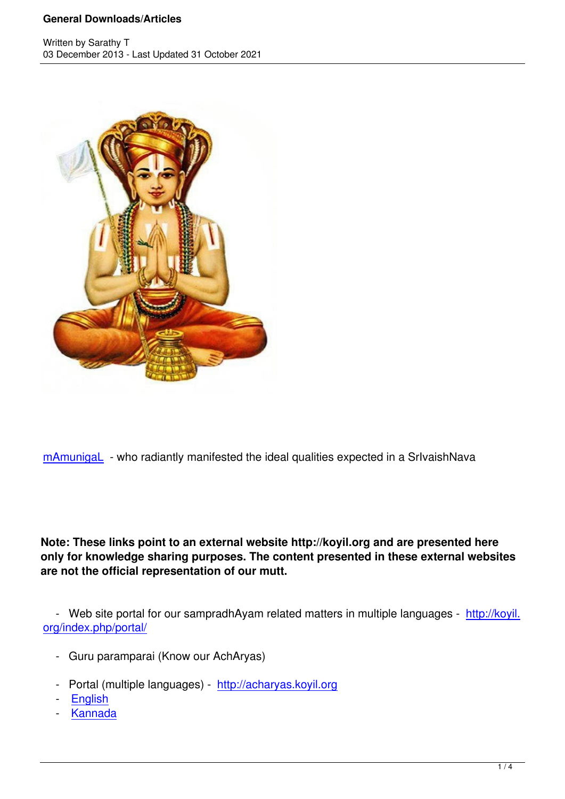

mAmunigaL - who radiantly manifested the ideal qualities expected in a SrlvaishNava

**Note: These links point to an external website http://koyil.org and are presented here only for knowledge sharing purposes. The content presented in these external websites are not the official representation of our mutt.**

 - Web site portal for our sampradhAyam related matters in multiple languages - http://koyil. org/index.php/portal/

- Guru paramparai (Know our AchAryas)
- Portal (multiple languages) http://acharyas.koyil.org
- English
- Kannada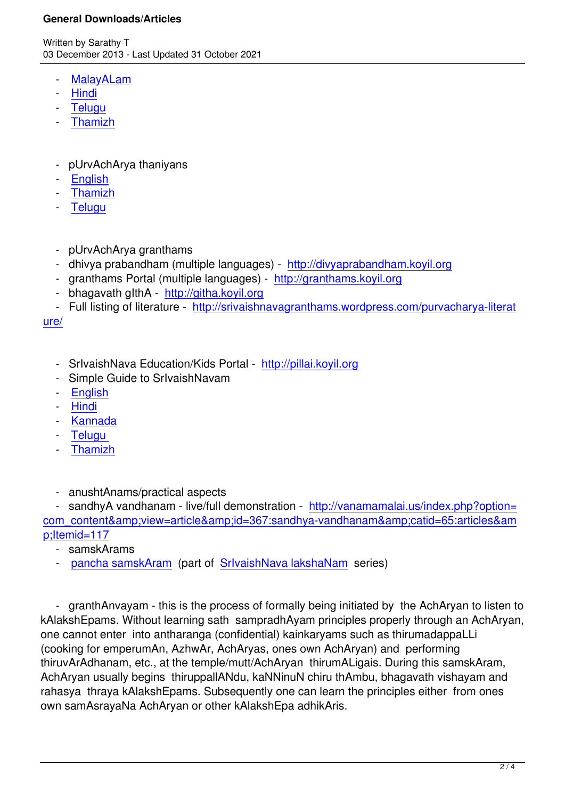- MalayALam
- Hindi
- **Telugu**
- [Thamizh](http://guruparamparaimalayalam.wordpress.com)
- [pUrvAchA](http://guruparamparaitamil.wordpress.com)rya thaniyans
- **English**
- Thamizh
- **Telugu**
- [pUrvAc](http://guruparamparaitelugu.wordpress.com/thanians/)[hA](http://guruparamparai.wordpress.com/thanians/)rya granthams
- dhivya prabandham (multiple languages) http://divyaprabandham.koyil.org
- granthams Portal (multiple languages) http://granthams.koyil.org
- bhagavath gIthA http://githa.koyil.org
- Full listing of literature http://srivaishnava[granthams.wordpress.com/purvac](http://divyaprabandham.koyil.org)harya-literat

ure/

- SrivaishNava Education/Kids Portalhttp://pillai.kovil.org
- Simple Guide to SrIvaishNavam
- English
- Hindi
- Kannada
- [Telugu](http://ponnadi.blogspot.in/p/simple-guide-to-srivaishnavam.html)
- [Tham](https://srivaishnavagranthamshindi.wordpress.com/simple-guide-to-srivaishnavam/)izh
- [anushtAn](https://srivaishnavagranthamstamil.wordpress.com/simple-guide-to-srivaishnavam/)ams/practical aspects

- sandhyA vandhanam - live/full demonstration - http://vanamamalai.us/index.php?option= com\_content&view=article&id=367:sandhya-vandhanam&catid=65:articles&am p;Itemid=117

- samskArams
- pancha samskAram (part of SrIvaishNava lakshaNam series)

 - [granthAnvayam - this](http://ponnadi.blogspot.in/2012/07/srivaishnava-lakshanam-2.html) is the pr[ocess of formally being in](http://ponnadi.blogspot.in/p/srivaishnava-lakshanam.html)itiated by the AchAryan to listen to kAlakshEpams. Without learning sath sampradhAyam principles properly through an AchAryan, one cannot enter into antharanga (confidential) kainkaryams such as thirumadappaLLi (cooking for emperumAn, AzhwAr, AchAryas, ones own AchAryan) and performing thiruvArAdhanam, etc., at the temple/mutt/AchAryan thirumALigais. During this samskAram, AchAryan usually begins thiruppallANdu, kaNNinuN chiru thAmbu, bhagavath vishayam and rahasya thraya kAlakshEpams. Subsequently one can learn the principles either from ones own samAsrayaNa AchAryan or other kAlakshEpa adhikAris.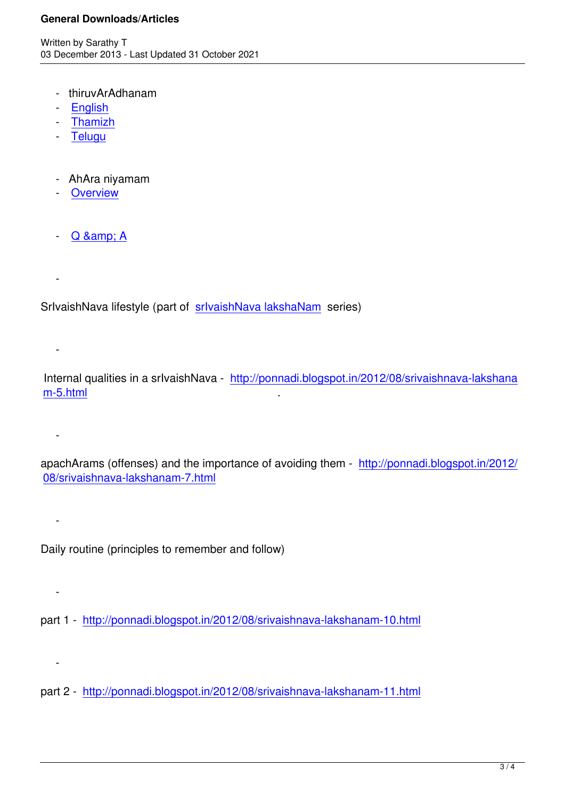- thiruvArAdhanam
- English
- Thamizh
- Telugu
- [AhAra n](http://srivaishnavagranthamstelugu.wordpress.com/2014/02/03/srivaishnava-thiruvaaraadhanam/)[iy](http://srivaishnavagranthamstamil.wordpress.com/2013/12/13/srivaishnava-thiruvaaraadhanam/)amam
- Overview
- $-Q$  & amp; A

-

-

 [-](http://ponnadi.blogspot.in/2012/08/srivaishnava-lakshanam-5.html) 

 [-](http://ponnadi.blogspot.in/2012/08/srivaishnava-lakshanam-7.html) 

-

-

SrIvaishNava lifestyle (part of srIvaishNava lakshaNam series)

 Internal qualities in a srIvaishNava - http://ponnadi.blogspot.in/2012/08/srivaishnava-lakshana m-5.html .

apachArams (offenses) and the importance of avoiding them - http://ponnadi.blogspot.in/2012/ 08/srivaishnava-lakshanam-7.html

Daily routine (principles to remember and follow)

part 1 - http://ponnadi.blogspot.in/2012/08/srivaishnava-lakshanam-10.html

part 2 - http://ponnadi.blogspot.in/2012/08/srivaishnava-lakshanam-11.html